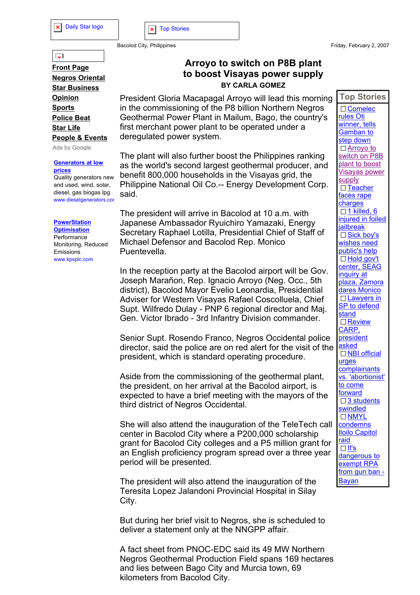## **Arroyo to switch on P8B plant to boost Visayas power supply BY CARLA GOMEZ**

President Gloria Macapagal Arroyo will lead this morning in the commissioning of the P8 billion Northern Negros Geothermal Power Plant in Mailum, Bago, the country's first merchant power plant to be operated under a deregulated power system.

The plant will also further boost the Philippines ranking as the world's second largest geothermal producer, and benefit 800,000 households in the Visayas grid, the Philippine National Oil Co.-- Energy Development Corp. said.

The president will arrive in Bacolod at 10 a.m. with Japanese Ambassador Ryuichiro Yamazaki, Energy Secretary Raphael Lotilla, Presidential Chief of Staff of Michael Defensor and Bacolod Rep. Monico Puentevella.

In the reception party at the Bacolod airport will be Gov. Joseph Marañon, Rep. Ignacio Arroyo (Neg. Occ., 5th district), Bacolod Mayor Evelio Leonardia, Presidential Adviser for Western Visayas Rafael Coscolluela, Chief Supt. Wilfredo Dulay - PNP 6 regional director and Maj. Gen. Victor Ibrado - 3rd Infantry Division commander.

Senior Supt. Rosendo Franco, Negros Occidental police director, said the police are on red alert for the visit of the president, which is standard operating procedure.

Aside from the commissioning of the geothermal plant, the president, on her arrival at the Bacolod airport, is expected to have a brief meeting with the mayors of the third district of Negros Occidental.

She will also attend the inauguration of the TeleTech call center in Bacolod City where a P200,000 scholarship grant for Bacolod City colleges and a P5 million grant for an English proficiency program spread over a three year period will be presented.

The president will also attend the inauguration of the Teresita Lopez Jalandoni Provincial Hospital in Silay City.

But during her brief visit to Negros, she is scheduled to deliver a statement only at the NNGPP affair.

A fact sheet from PNOC-EDC said its 49 MW Northern Negros Geothermal Production Field spans 169 hectares and lies between Bago City and Murcia town, 69 kilometers from Bacolod City.

 $\overline{\phantom{a}}$ 

**Front Page Negros Oriental Star Business Opinion Sports Police Beat Star Life People & Events**

Ads by Google

**Generators at low prices**

Quality generators new and used, wind, solar, diesel, gas biogas lpg www.dieselgenerators.cor

## **PowerStation Optimisation**

Performance Monitoring, Reduced Emissions www.kpsplc.com

**Top Stories** □ Comelec rules Oti winner, tells Gamban to step down Arroyo to switch on P8B plant to boost Visayas power supply □ Teacher faces rape charges  $\Box$  1 killed, 6 injured in foiled jailbreak □ Sick boy's wishes need public's help □ Hold gov't center, SEAG inquiry at plaza, Zamora dares Monico □ Lawyers in SP to defend stand □ Review CARP, president asked □ NBI official urges **complainants** vs. 'abortionist' to come forward □ 3 students swindled □ NMYL condemns Iloilo Capitol raid  $\Box$  It's dangerous to exempt RPA from gun ban -Bayan